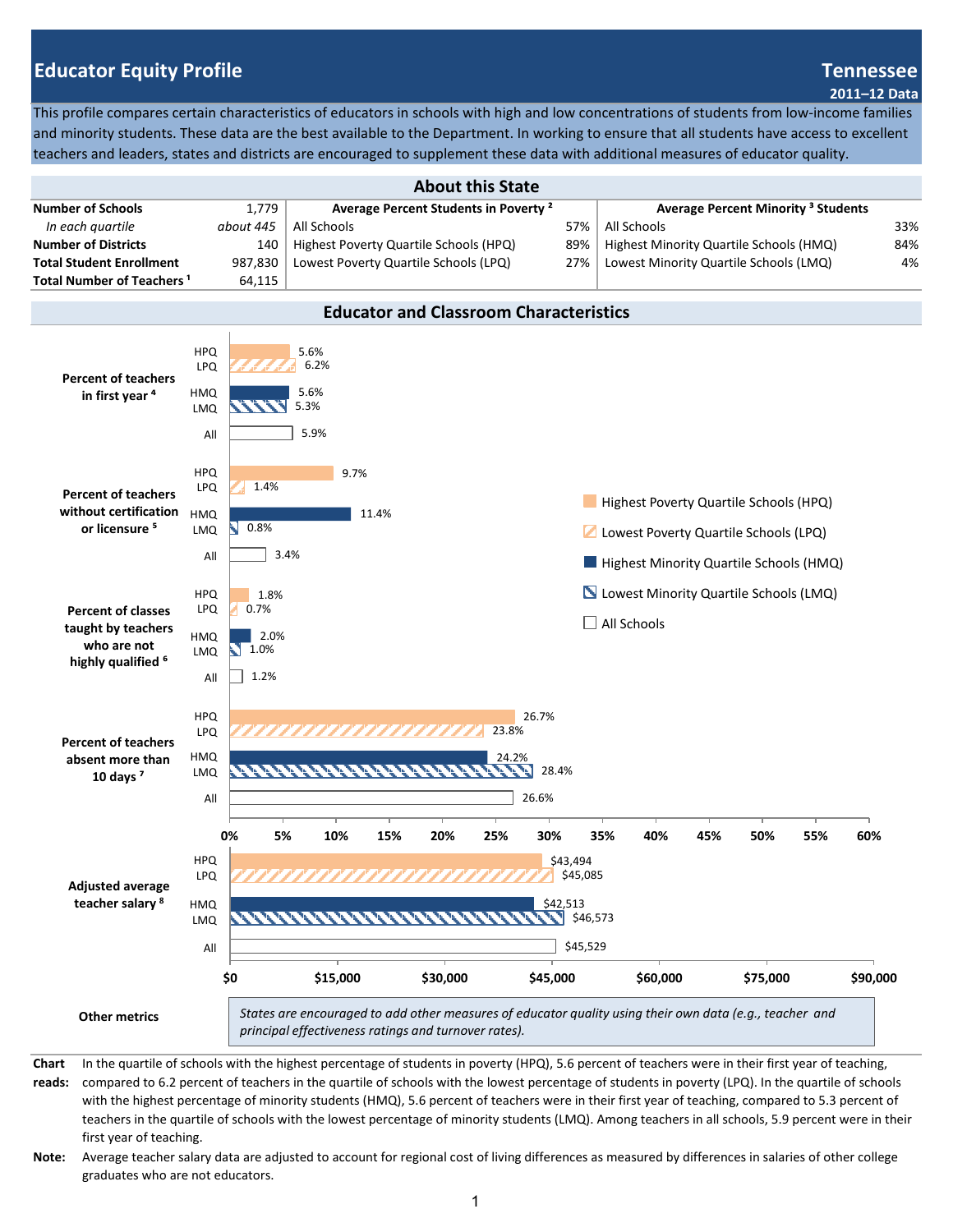# **Educator Equity Profile Tennessee**

#### **2011–12 Data**

This profile compares certain characteristics of educators in schools with high and low concentrations of students from low-income families and minority students. These data are the best available to the Department. In working to ensure that all students have access to excellent teachers and leaders, states and districts are encouraged to supplement these data with additional measures of educator quality.

| <b>About this State</b>               |           |                                                                                                          |     |                                         |     |  |
|---------------------------------------|-----------|----------------------------------------------------------------------------------------------------------|-----|-----------------------------------------|-----|--|
| <b>Number of Schools</b>              | 1.779     | <b>Average Percent Minority<sup>3</sup> Students</b><br>Average Percent Students in Poverty <sup>2</sup> |     |                                         |     |  |
| In each quartile                      | about 445 | All Schools                                                                                              | 57% | All Schools                             | 33% |  |
| <b>Number of Districts</b>            | 140       | Highest Poverty Quartile Schools (HPQ)                                                                   | 89% | Highest Minority Quartile Schools (HMQ) | 84% |  |
| <b>Total Student Enrollment</b>       | 987.830   | Lowest Poverty Quartile Schools (LPQ)                                                                    | 27% | Lowest Minority Quartile Schools (LMQ)  | 4%  |  |
| Total Number of Teachers <sup>1</sup> | 64,115    |                                                                                                          |     |                                         |     |  |



## **Educator and Classroom Characteristics**

**Chart reads:** In the quartile of schools with the highest percentage of students in poverty (HPQ), 5.6 percent of teachers were in their first year of teaching, compared to 6.2 percent of teachers in the quartile of schools with the lowest percentage of students in poverty (LPQ). In the quartile of schools with the highest percentage of minority students (HMQ), 5.6 percent of teachers were in their first year of teaching, compared to 5.3 percent of teachers in the quartile of schools with the lowest percentage of minority students (LMQ). Among teachers in all schools, 5.9 percent were in their first year of teaching.

**Note:** Average teacher salary data are adjusted to account for regional cost of living differences as measured by differences in salaries of other college graduates who are not educators.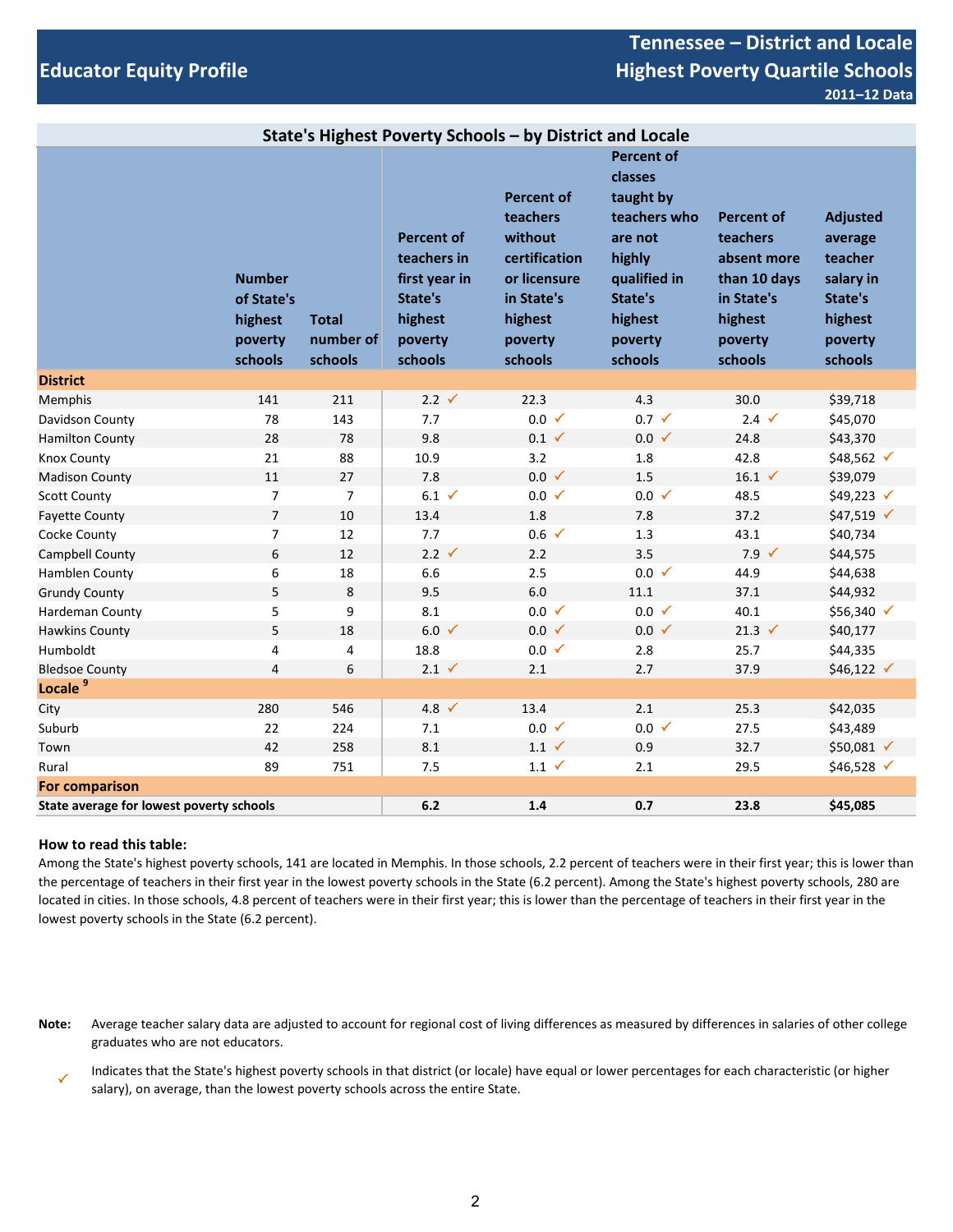## **Educator Equity Profile**

## **Tennessee – District and Locale Highest Poverty Quartile Schools 2011–12 Data**

| State's Highest Poverty Schools - by District and Locale |                                                              |                                      |                                                                                               |                                                                                                                          |                                                                                                                                            |                                                                                                             |                                                                                                |
|----------------------------------------------------------|--------------------------------------------------------------|--------------------------------------|-----------------------------------------------------------------------------------------------|--------------------------------------------------------------------------------------------------------------------------|--------------------------------------------------------------------------------------------------------------------------------------------|-------------------------------------------------------------------------------------------------------------|------------------------------------------------------------------------------------------------|
|                                                          | <b>Number</b><br>of State's<br>highest<br>poverty<br>schools | <b>Total</b><br>number of<br>schools | <b>Percent of</b><br>teachers in<br>first year in<br>State's<br>highest<br>poverty<br>schools | <b>Percent of</b><br>teachers<br>without<br>certification<br>or licensure<br>in State's<br>highest<br>poverty<br>schools | <b>Percent of</b><br>classes<br>taught by<br>teachers who<br>are not<br>highly<br>qualified in<br>State's<br>highest<br>poverty<br>schools | <b>Percent of</b><br>teachers<br>absent more<br>than 10 days<br>in State's<br>highest<br>poverty<br>schools | <b>Adjusted</b><br>average<br>teacher<br>salary in<br>State's<br>highest<br>poverty<br>schools |
| <b>District</b>                                          |                                                              |                                      |                                                                                               |                                                                                                                          |                                                                                                                                            |                                                                                                             |                                                                                                |
| Memphis                                                  | 141                                                          | 211                                  | $2.2 \checkmark$                                                                              | 22.3                                                                                                                     | 4.3                                                                                                                                        | 30.0                                                                                                        | \$39,718                                                                                       |
| Davidson County                                          | 78                                                           | 143                                  | 7.7                                                                                           | $0.0 \checkmark$                                                                                                         | $0.7 \checkmark$                                                                                                                           | $2.4 \sqrt$                                                                                                 | \$45,070                                                                                       |
| <b>Hamilton County</b>                                   | 28                                                           | 78                                   | 9.8                                                                                           | $0.1 \checkmark$                                                                                                         | $0.0 \checkmark$                                                                                                                           | 24.8                                                                                                        | \$43,370                                                                                       |
| Knox County                                              | 21                                                           | 88                                   | 10.9                                                                                          | 3.2                                                                                                                      | 1.8                                                                                                                                        | 42.8                                                                                                        | \$48,562 √                                                                                     |
| <b>Madison County</b>                                    | 11                                                           | 27                                   | 7.8                                                                                           | $0.0 \checkmark$                                                                                                         | 1.5                                                                                                                                        | $16.1 \checkmark$                                                                                           | \$39,079                                                                                       |
| <b>Scott County</b>                                      | $\overline{7}$                                               | $\overline{7}$                       | $6.1 \checkmark$                                                                              | $0.0 \checkmark$                                                                                                         | $0.0 \checkmark$                                                                                                                           | 48.5                                                                                                        | \$49,223 √                                                                                     |
| <b>Fayette County</b>                                    | $\overline{7}$                                               | 10                                   | 13.4                                                                                          | 1.8                                                                                                                      | 7.8                                                                                                                                        | 37.2                                                                                                        | $$47,519$ $\checkmark$                                                                         |
| Cocke County                                             | 7                                                            | 12                                   | 7.7                                                                                           | $0.6 \checkmark$                                                                                                         | 1.3                                                                                                                                        | 43.1                                                                                                        | \$40,734                                                                                       |
| Campbell County                                          | 6                                                            | 12                                   | $2.2 \checkmark$                                                                              | 2.2                                                                                                                      | 3.5                                                                                                                                        | $7.9 \checkmark$                                                                                            | \$44,575                                                                                       |
| Hamblen County                                           | 6                                                            | 18                                   | 6.6                                                                                           | 2.5                                                                                                                      | $0.0 \checkmark$                                                                                                                           | 44.9                                                                                                        | \$44,638                                                                                       |
| <b>Grundy County</b>                                     | 5                                                            | $\,8\,$                              | 9.5                                                                                           | 6.0                                                                                                                      | 11.1                                                                                                                                       | 37.1                                                                                                        | \$44,932                                                                                       |
| Hardeman County                                          | 5                                                            | 9                                    | 8.1                                                                                           | $0.0 \checkmark$                                                                                                         | $0.0 \checkmark$                                                                                                                           | 40.1                                                                                                        | \$56,340 √                                                                                     |
| <b>Hawkins County</b>                                    | 5                                                            | 18                                   | $6.0 \checkmark$                                                                              | $0.0 \checkmark$                                                                                                         | $0.0 \checkmark$                                                                                                                           | 21.3 $\checkmark$                                                                                           | \$40,177                                                                                       |
| Humboldt                                                 | 4                                                            | $\overline{4}$                       | 18.8                                                                                          | $0.0 \checkmark$                                                                                                         | 2.8                                                                                                                                        | 25.7                                                                                                        | \$44,335                                                                                       |
| <b>Bledsoe County</b>                                    | $\overline{4}$                                               | 6                                    | $2.1 \checkmark$                                                                              | 2.1                                                                                                                      | 2.7                                                                                                                                        | 37.9                                                                                                        | $$46,122$ $\checkmark$                                                                         |
| Locale <sup>9</sup>                                      |                                                              |                                      |                                                                                               |                                                                                                                          |                                                                                                                                            |                                                                                                             |                                                                                                |
| City                                                     | 280                                                          | 546                                  | 4.8 $\checkmark$                                                                              | 13.4                                                                                                                     | 2.1                                                                                                                                        | 25.3                                                                                                        | \$42,035                                                                                       |
| Suburb                                                   | 22                                                           | 224                                  | 7.1                                                                                           | $0.0 \checkmark$                                                                                                         | $0.0 \checkmark$                                                                                                                           | 27.5                                                                                                        | \$43,489                                                                                       |
| Town                                                     | 42                                                           | 258                                  | 8.1                                                                                           | $1.1 \checkmark$                                                                                                         | 0.9                                                                                                                                        | 32.7                                                                                                        | \$50,081 √                                                                                     |
| Rural                                                    | 89                                                           | 751                                  | 7.5                                                                                           | $1.1 \checkmark$                                                                                                         | 2.1                                                                                                                                        | 29.5                                                                                                        | \$46,528 √                                                                                     |
| <b>For comparison</b>                                    |                                                              |                                      |                                                                                               |                                                                                                                          |                                                                                                                                            |                                                                                                             |                                                                                                |
| State average for lowest poverty schools                 |                                                              |                                      | $6.2$                                                                                         | 1.4                                                                                                                      | 0.7                                                                                                                                        | 23.8                                                                                                        | \$45,085                                                                                       |

### **How to read this table:**

Among the State's highest poverty schools, 141 are located in Memphis. In those schools, 2.2 percent of teachers were in their first year; this is lower than the percentage of teachers in their first year in the lowest poverty schools in the State (6.2 percent). Among the State's highest poverty schools, 280 are located in cities. In those schools, 4.8 percent of teachers were in their first year; this is lower than the percentage of teachers in their first year in the lowest poverty schools in the State (6.2 percent).

**Note:** Average teacher salary data are adjusted to account for regional cost of living differences as measured by differences in salaries of other college graduates who are not educators.

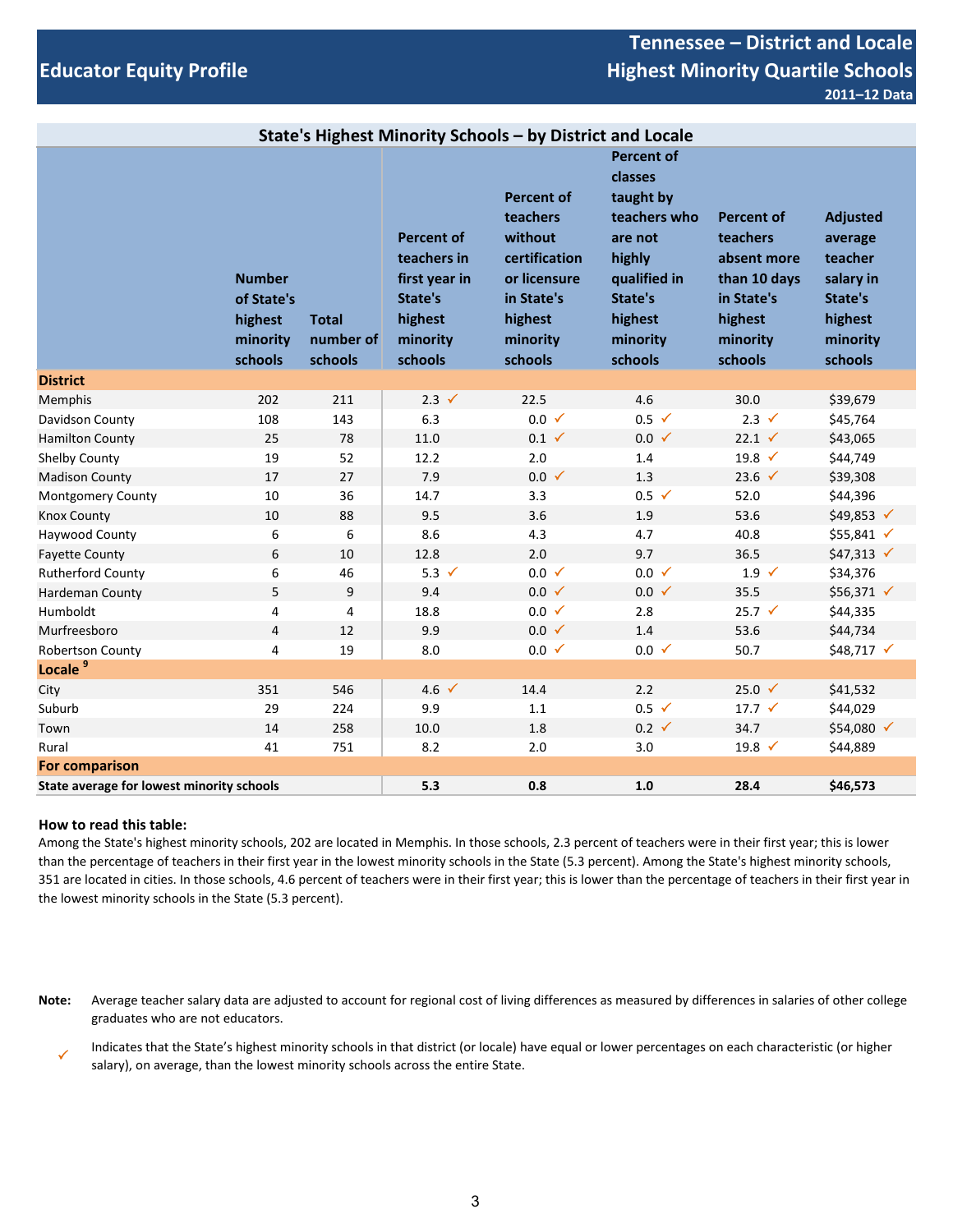## **Educator Equity Profile**

## **Tennessee – District and Locale Highest Minority Quartile Schools 2011–12 Data**

|                                           |                                                               |                                      |                                                                                                | State's Highest Minority Schools - by District and Locale                                                                 |                                                                                                                                             |                                                                                                              |                                                                                                 |
|-------------------------------------------|---------------------------------------------------------------|--------------------------------------|------------------------------------------------------------------------------------------------|---------------------------------------------------------------------------------------------------------------------------|---------------------------------------------------------------------------------------------------------------------------------------------|--------------------------------------------------------------------------------------------------------------|-------------------------------------------------------------------------------------------------|
|                                           | <b>Number</b><br>of State's<br>highest<br>minority<br>schools | <b>Total</b><br>number of<br>schools | <b>Percent of</b><br>teachers in<br>first year in<br>State's<br>highest<br>minority<br>schools | <b>Percent of</b><br>teachers<br>without<br>certification<br>or licensure<br>in State's<br>highest<br>minority<br>schools | <b>Percent of</b><br>classes<br>taught by<br>teachers who<br>are not<br>highly<br>qualified in<br>State's<br>highest<br>minority<br>schools | <b>Percent of</b><br>teachers<br>absent more<br>than 10 days<br>in State's<br>highest<br>minority<br>schools | <b>Adjusted</b><br>average<br>teacher<br>salary in<br>State's<br>highest<br>minority<br>schools |
| <b>District</b>                           |                                                               |                                      |                                                                                                |                                                                                                                           |                                                                                                                                             |                                                                                                              |                                                                                                 |
| Memphis                                   | 202                                                           | 211                                  | $2.3 \checkmark$                                                                               | 22.5                                                                                                                      | 4.6                                                                                                                                         | 30.0                                                                                                         | \$39,679                                                                                        |
| Davidson County                           | 108                                                           | 143                                  | 6.3                                                                                            | $0.0 \checkmark$                                                                                                          | $0.5 \checkmark$                                                                                                                            | $2.3 \checkmark$                                                                                             | \$45,764                                                                                        |
| <b>Hamilton County</b>                    | 25                                                            | 78                                   | 11.0                                                                                           | $0.1 \checkmark$                                                                                                          | $0.0 \checkmark$                                                                                                                            | $22.1 \checkmark$                                                                                            | \$43,065                                                                                        |
| Shelby County                             | 19                                                            | 52                                   | 12.2                                                                                           | 2.0                                                                                                                       | 1.4                                                                                                                                         | 19.8 $\checkmark$                                                                                            | \$44,749                                                                                        |
| <b>Madison County</b>                     | 17                                                            | 27                                   | 7.9                                                                                            | $0.0 \checkmark$                                                                                                          | 1.3                                                                                                                                         | 23.6 $\checkmark$                                                                                            | \$39,308                                                                                        |
| Montgomery County                         | $10\,$                                                        | 36                                   | 14.7                                                                                           | 3.3                                                                                                                       | $0.5 \checkmark$                                                                                                                            | 52.0                                                                                                         | \$44,396                                                                                        |
| <b>Knox County</b>                        | 10                                                            | 88                                   | 9.5                                                                                            | 3.6                                                                                                                       | 1.9                                                                                                                                         | 53.6                                                                                                         | \$49,853 √                                                                                      |
| Haywood County                            | 6                                                             | 6                                    | 8.6                                                                                            | 4.3                                                                                                                       | 4.7                                                                                                                                         | 40.8                                                                                                         | \$55,841 √                                                                                      |
| <b>Fayette County</b>                     | 6                                                             | 10                                   | 12.8                                                                                           | 2.0                                                                                                                       | 9.7                                                                                                                                         | 36.5                                                                                                         | $$47,313 \checkmark$                                                                            |
| <b>Rutherford County</b>                  | 6                                                             | 46                                   | 5.3 $\checkmark$                                                                               | $0.0 \checkmark$                                                                                                          | $0.0 \checkmark$                                                                                                                            | $1.9 \checkmark$                                                                                             | \$34,376                                                                                        |
| Hardeman County                           | 5                                                             | 9                                    | 9.4                                                                                            | $0.0 \checkmark$                                                                                                          | $0.0 \checkmark$                                                                                                                            | 35.5                                                                                                         | \$56,371 √                                                                                      |
| Humboldt                                  | 4                                                             | 4                                    | 18.8                                                                                           | $0.0 \checkmark$                                                                                                          | 2.8                                                                                                                                         | $25.7$ ✓                                                                                                     | \$44,335                                                                                        |
| Murfreesboro                              | $\overline{4}$                                                | 12                                   | 9.9                                                                                            | $0.0 \checkmark$                                                                                                          | 1.4                                                                                                                                         | 53.6                                                                                                         | \$44,734                                                                                        |
| Robertson County                          | 4                                                             | 19                                   | 8.0                                                                                            | $0.0 \checkmark$                                                                                                          | $0.0 \checkmark$                                                                                                                            | 50.7                                                                                                         | \$48,717 √                                                                                      |
| Locale <sup>9</sup>                       |                                                               |                                      |                                                                                                |                                                                                                                           |                                                                                                                                             |                                                                                                              |                                                                                                 |
| City                                      | 351                                                           | 546                                  | 4.6 $\checkmark$                                                                               | 14.4                                                                                                                      | 2.2                                                                                                                                         | 25.0 $\checkmark$                                                                                            | \$41,532                                                                                        |
| Suburb                                    | 29                                                            | 224                                  | 9.9                                                                                            | 1.1                                                                                                                       | $0.5 \checkmark$                                                                                                                            | $17.7 \sqrt$                                                                                                 | \$44,029                                                                                        |
| Town                                      | 14                                                            | 258                                  | 10.0                                                                                           | 1.8                                                                                                                       | $0.2 \checkmark$                                                                                                                            | 34.7                                                                                                         | \$54,080 √                                                                                      |
| Rural                                     | 41                                                            | 751                                  | 8.2                                                                                            | 2.0                                                                                                                       | 3.0                                                                                                                                         | 19.8 $\checkmark$                                                                                            | \$44,889                                                                                        |
| <b>For comparison</b>                     |                                                               |                                      |                                                                                                |                                                                                                                           |                                                                                                                                             |                                                                                                              |                                                                                                 |
| State average for lowest minority schools |                                                               |                                      | 5.3                                                                                            | 0.8                                                                                                                       | 1.0                                                                                                                                         | 28.4                                                                                                         | \$46,573                                                                                        |

### **How to read this table:**

Among the State's highest minority schools, 202 are located in Memphis. In those schools, 2.3 percent of teachers were in their first year; this is lower than the percentage of teachers in their first year in the lowest minority schools in the State (5.3 percent). Among the State's highest minority schools, 351 are located in cities. In those schools, 4.6 percent of teachers were in their first year; this is lower than the percentage of teachers in their first year in the lowest minority schools in the State (5.3 percent).

**Note:** Average teacher salary data are adjusted to account for regional cost of living differences as measured by differences in salaries of other college graduates who are not educators.

 Indicates that the State's highest minority schools in that district (or locale) have equal or lower percentages on each characteristic (or higher salary), on average, than the lowest minority schools across the entire State.